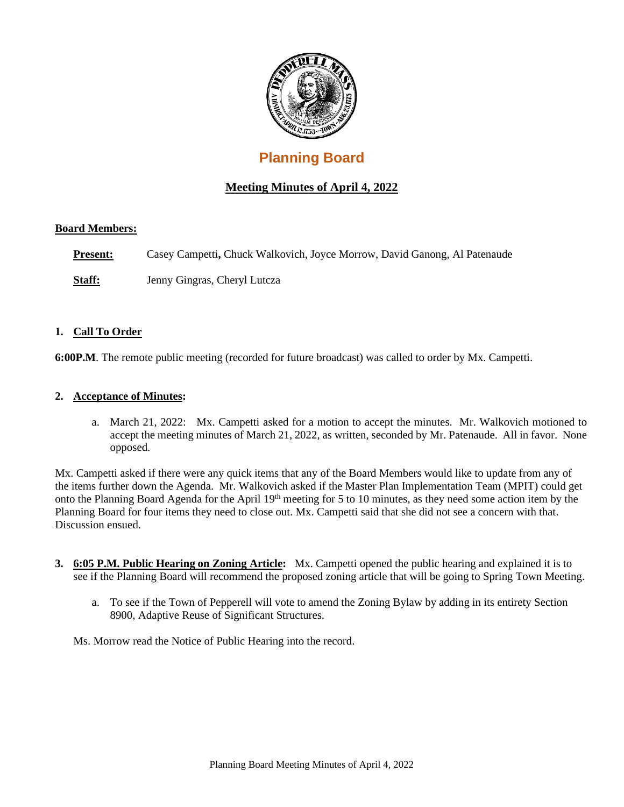

# **Planning Board**

# **Meeting Minutes of April 4, 2022**

# **Board Members:**

**Present:** Casey Campetti, Chuck Walkovich, Joyce Morrow, David Ganong, Al Patenaude

**Staff:** Jenny Gingras, Cheryl Lutcza

#### **1. Call To Order**

**6:00P.M**. The remote public meeting (recorded for future broadcast) was called to order by Mx. Campetti.

# **2. Acceptance of Minutes:**

a. March 21, 2022: Mx. Campetti asked for a motion to accept the minutes. Mr. Walkovich motioned to accept the meeting minutes of March 21, 2022, as written, seconded by Mr. Patenaude. All in favor. None opposed.

Mx. Campetti asked if there were any quick items that any of the Board Members would like to update from any of the items further down the Agenda. Mr. Walkovich asked if the Master Plan Implementation Team (MPIT) could get onto the Planning Board Agenda for the April 19th meeting for 5 to 10 minutes, as they need some action item by the Planning Board for four items they need to close out. Mx. Campetti said that she did not see a concern with that. Discussion ensued.

- **3. 6:05 P.M. Public Hearing on Zoning Article:** Mx. Campetti opened the public hearing and explained it is to see if the Planning Board will recommend the proposed zoning article that will be going to Spring Town Meeting.
	- a. To see if the Town of Pepperell will vote to amend the Zoning Bylaw by adding in its entirety Section 8900, Adaptive Reuse of Significant Structures.

Ms. Morrow read the Notice of Public Hearing into the record.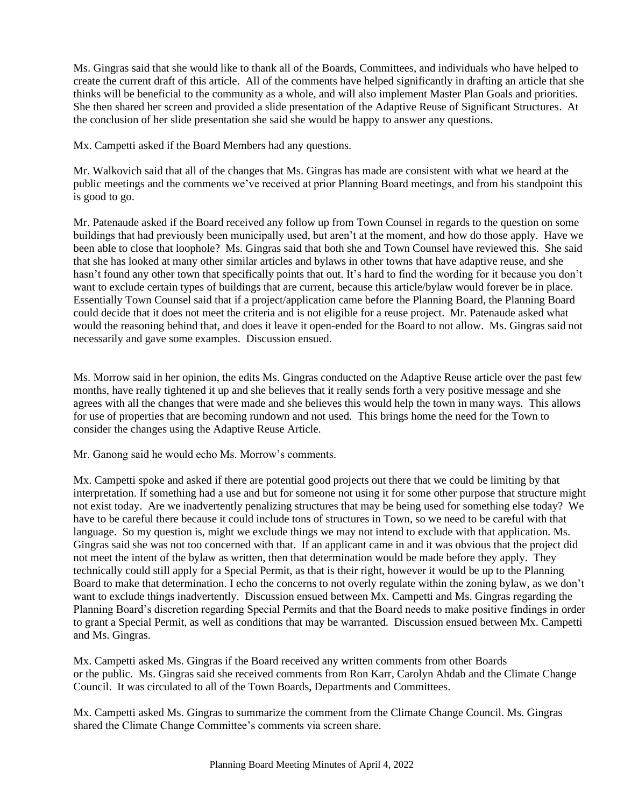Ms. Gingras said that she would like to thank all of the Boards, Committees, and individuals who have helped to create the current draft of this article. All of the comments have helped significantly in drafting an article that she thinks will be beneficial to the community as a whole, and will also implement Master Plan Goals and priorities. She then shared her screen and provided a slide presentation of the Adaptive Reuse of Significant Structures. At the conclusion of her slide presentation she said she would be happy to answer any questions.

Mx. Campetti asked if the Board Members had any questions.

Mr. Walkovich said that all of the changes that Ms. Gingras has made are consistent with what we heard at the public meetings and the comments we've received at prior Planning Board meetings, and from his standpoint this is good to go.

Mr. Patenaude asked if the Board received any follow up from Town Counsel in regards to the question on some buildings that had previously been municipally used, but aren't at the moment, and how do those apply. Have we been able to close that loophole? Ms. Gingras said that both she and Town Counsel have reviewed this. She said that she has looked at many other similar articles and bylaws in other towns that have adaptive reuse, and she hasn't found any other town that specifically points that out. It's hard to find the wording for it because you don't want to exclude certain types of buildings that are current, because this article/bylaw would forever be in place. Essentially Town Counsel said that if a project/application came before the Planning Board, the Planning Board could decide that it does not meet the criteria and is not eligible for a reuse project. Mr. Patenaude asked what would the reasoning behind that, and does it leave it open-ended for the Board to not allow. Ms. Gingras said not necessarily and gave some examples. Discussion ensued.

Ms. Morrow said in her opinion, the edits Ms. Gingras conducted on the Adaptive Reuse article over the past few months, have really tightened it up and she believes that it really sends forth a very positive message and she agrees with all the changes that were made and she believes this would help the town in many ways. This allows for use of properties that are becoming rundown and not used. This brings home the need for the Town to consider the changes using the Adaptive Reuse Article.

Mr. Ganong said he would echo Ms. Morrow's comments.

Mx. Campetti spoke and asked if there are potential good projects out there that we could be limiting by that interpretation. If something had a use and but for someone not using it for some other purpose that structure might not exist today. Are we inadvertently penalizing structures that may be being used for something else today? We have to be careful there because it could include tons of structures in Town, so we need to be careful with that language. So my question is, might we exclude things we may not intend to exclude with that application. Ms. Gingras said she was not too concerned with that. If an applicant came in and it was obvious that the project did not meet the intent of the bylaw as written, then that determination would be made before they apply. They technically could still apply for a Special Permit, as that is their right, however it would be up to the Planning Board to make that determination. I echo the concerns to not overly regulate within the zoning bylaw, as we don't want to exclude things inadvertently. Discussion ensued between Mx. Campetti and Ms. Gingras regarding the Planning Board's discretion regarding Special Permits and that the Board needs to make positive findings in order to grant a Special Permit, as well as conditions that may be warranted. Discussion ensued between Mx. Campetti and Ms. Gingras.

Mx. Campetti asked Ms. Gingras if the Board received any written comments from other Boards or the public. Ms. Gingras said she received comments from Ron Karr, Carolyn Ahdab and the Climate Change Council. It was circulated to all of the Town Boards, Departments and Committees.

Mx. Campetti asked Ms. Gingras to summarize the comment from the Climate Change Council. Ms. Gingras shared the Climate Change Committee's comments via screen share.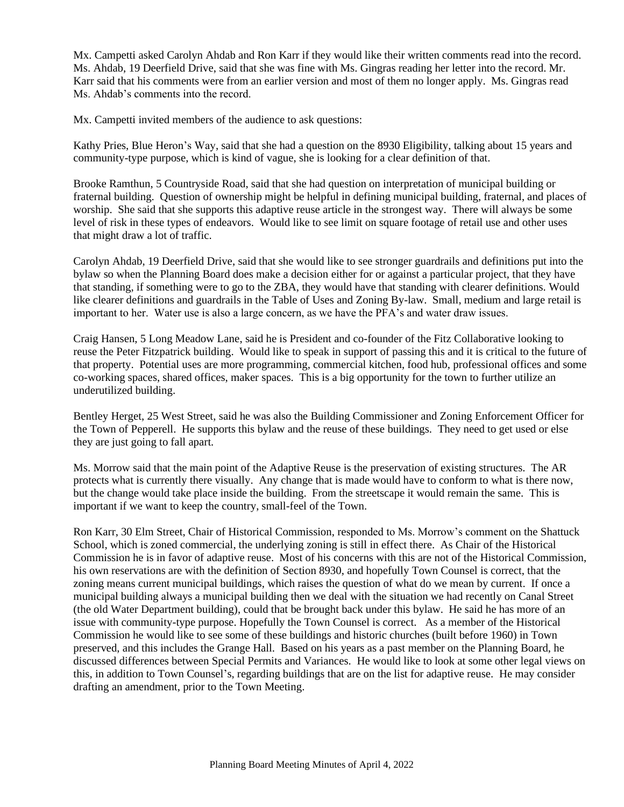Mx. Campetti asked Carolyn Ahdab and Ron Karr if they would like their written comments read into the record. Ms. Ahdab, 19 Deerfield Drive, said that she was fine with Ms. Gingras reading her letter into the record. Mr. Karr said that his comments were from an earlier version and most of them no longer apply. Ms. Gingras read Ms. Ahdab's comments into the record.

Mx. Campetti invited members of the audience to ask questions:

Kathy Pries, Blue Heron's Way, said that she had a question on the 8930 Eligibility, talking about 15 years and community-type purpose, which is kind of vague, she is looking for a clear definition of that.

Brooke Ramthun, 5 Countryside Road, said that she had question on interpretation of municipal building or fraternal building. Question of ownership might be helpful in defining municipal building, fraternal, and places of worship. She said that she supports this adaptive reuse article in the strongest way. There will always be some level of risk in these types of endeavors. Would like to see limit on square footage of retail use and other uses that might draw a lot of traffic.

Carolyn Ahdab, 19 Deerfield Drive, said that she would like to see stronger guardrails and definitions put into the bylaw so when the Planning Board does make a decision either for or against a particular project, that they have that standing, if something were to go to the ZBA, they would have that standing with clearer definitions. Would like clearer definitions and guardrails in the Table of Uses and Zoning By-law. Small, medium and large retail is important to her. Water use is also a large concern, as we have the PFA's and water draw issues.

Craig Hansen, 5 Long Meadow Lane, said he is President and co-founder of the Fitz Collaborative looking to reuse the Peter Fitzpatrick building. Would like to speak in support of passing this and it is critical to the future of that property. Potential uses are more programming, commercial kitchen, food hub, professional offices and some co-working spaces, shared offices, maker spaces. This is a big opportunity for the town to further utilize an underutilized building.

Bentley Herget, 25 West Street, said he was also the Building Commissioner and Zoning Enforcement Officer for the Town of Pepperell. He supports this bylaw and the reuse of these buildings. They need to get used or else they are just going to fall apart.

Ms. Morrow said that the main point of the Adaptive Reuse is the preservation of existing structures. The AR protects what is currently there visually. Any change that is made would have to conform to what is there now, but the change would take place inside the building. From the streetscape it would remain the same. This is important if we want to keep the country, small-feel of the Town.

Ron Karr, 30 Elm Street, Chair of Historical Commission, responded to Ms. Morrow's comment on the Shattuck School, which is zoned commercial, the underlying zoning is still in effect there. As Chair of the Historical Commission he is in favor of adaptive reuse. Most of his concerns with this are not of the Historical Commission, his own reservations are with the definition of Section 8930, and hopefully Town Counsel is correct, that the zoning means current municipal buildings, which raises the question of what do we mean by current. If once a municipal building always a municipal building then we deal with the situation we had recently on Canal Street (the old Water Department building), could that be brought back under this bylaw. He said he has more of an issue with community-type purpose. Hopefully the Town Counsel is correct. As a member of the Historical Commission he would like to see some of these buildings and historic churches (built before 1960) in Town preserved, and this includes the Grange Hall. Based on his years as a past member on the Planning Board, he discussed differences between Special Permits and Variances. He would like to look at some other legal views on this, in addition to Town Counsel's, regarding buildings that are on the list for adaptive reuse. He may consider drafting an amendment, prior to the Town Meeting.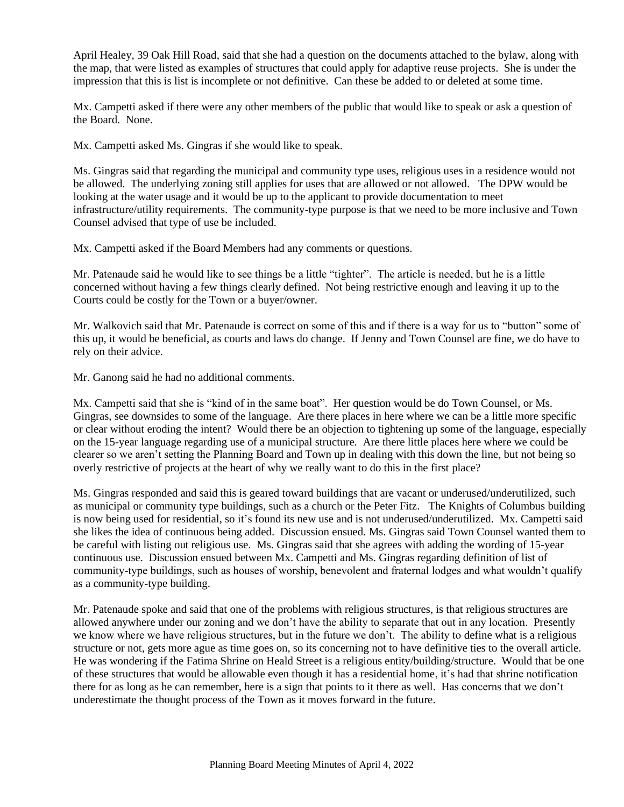April Healey, 39 Oak Hill Road, said that she had a question on the documents attached to the bylaw, along with the map, that were listed as examples of structures that could apply for adaptive reuse projects. She is under the impression that this is list is incomplete or not definitive. Can these be added to or deleted at some time.

Mx. Campetti asked if there were any other members of the public that would like to speak or ask a question of the Board. None.

Mx. Campetti asked Ms. Gingras if she would like to speak.

Ms. Gingras said that regarding the municipal and community type uses, religious uses in a residence would not be allowed. The underlying zoning still applies for uses that are allowed or not allowed. The DPW would be looking at the water usage and it would be up to the applicant to provide documentation to meet infrastructure/utility requirements. The community-type purpose is that we need to be more inclusive and Town Counsel advised that type of use be included.

Mx. Campetti asked if the Board Members had any comments or questions.

Mr. Patenaude said he would like to see things be a little "tighter". The article is needed, but he is a little concerned without having a few things clearly defined. Not being restrictive enough and leaving it up to the Courts could be costly for the Town or a buyer/owner.

Mr. Walkovich said that Mr. Patenaude is correct on some of this and if there is a way for us to "button" some of this up, it would be beneficial, as courts and laws do change. If Jenny and Town Counsel are fine, we do have to rely on their advice.

Mr. Ganong said he had no additional comments.

Mx. Campetti said that she is "kind of in the same boat". Her question would be do Town Counsel, or Ms. Gingras, see downsides to some of the language. Are there places in here where we can be a little more specific or clear without eroding the intent? Would there be an objection to tightening up some of the language, especially on the 15-year language regarding use of a municipal structure. Are there little places here where we could be clearer so we aren't setting the Planning Board and Town up in dealing with this down the line, but not being so overly restrictive of projects at the heart of why we really want to do this in the first place?

Ms. Gingras responded and said this is geared toward buildings that are vacant or underused/underutilized, such as municipal or community type buildings, such as a church or the Peter Fitz. The Knights of Columbus building is now being used for residential, so it's found its new use and is not underused/underutilized. Mx. Campetti said she likes the idea of continuous being added. Discussion ensued. Ms. Gingras said Town Counsel wanted them to be careful with listing out religious use. Ms. Gingras said that she agrees with adding the wording of 15-year continuous use. Discussion ensued between Mx. Campetti and Ms. Gingras regarding definition of list of community-type buildings, such as houses of worship, benevolent and fraternal lodges and what wouldn't qualify as a community-type building.

Mr. Patenaude spoke and said that one of the problems with religious structures, is that religious structures are allowed anywhere under our zoning and we don't have the ability to separate that out in any location. Presently we know where we have religious structures, but in the future we don't. The ability to define what is a religious structure or not, gets more ague as time goes on, so its concerning not to have definitive ties to the overall article. He was wondering if the Fatima Shrine on Heald Street is a religious entity/building/structure. Would that be one of these structures that would be allowable even though it has a residential home, it's had that shrine notification there for as long as he can remember, here is a sign that points to it there as well. Has concerns that we don't underestimate the thought process of the Town as it moves forward in the future.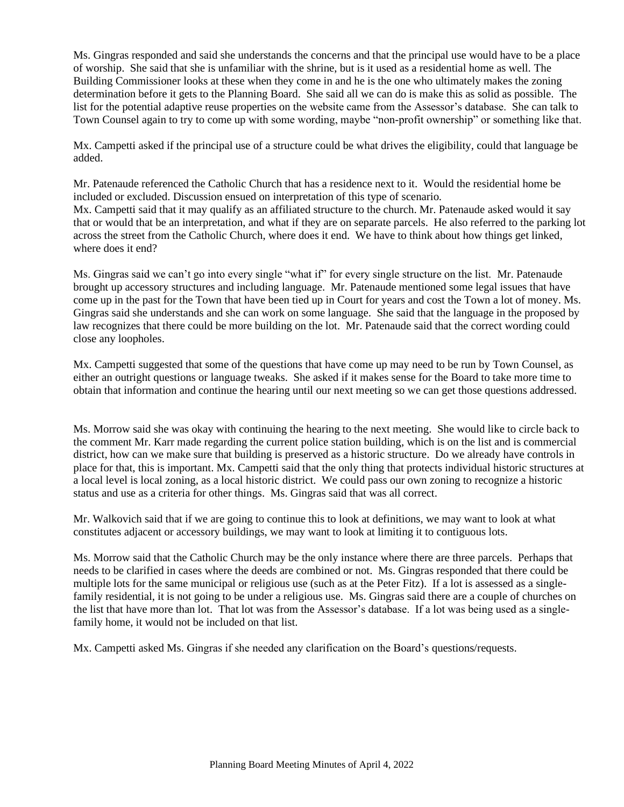Ms. Gingras responded and said she understands the concerns and that the principal use would have to be a place of worship. She said that she is unfamiliar with the shrine, but is it used as a residential home as well. The Building Commissioner looks at these when they come in and he is the one who ultimately makes the zoning determination before it gets to the Planning Board. She said all we can do is make this as solid as possible. The list for the potential adaptive reuse properties on the website came from the Assessor's database. She can talk to Town Counsel again to try to come up with some wording, maybe "non-profit ownership" or something like that.

Mx. Campetti asked if the principal use of a structure could be what drives the eligibility, could that language be added.

Mr. Patenaude referenced the Catholic Church that has a residence next to it. Would the residential home be included or excluded. Discussion ensued on interpretation of this type of scenario. Mx. Campetti said that it may qualify as an affiliated structure to the church. Mr. Patenaude asked would it say that or would that be an interpretation, and what if they are on separate parcels. He also referred to the parking lot across the street from the Catholic Church, where does it end. We have to think about how things get linked, where does it end?

Ms. Gingras said we can't go into every single "what if" for every single structure on the list. Mr. Patenaude brought up accessory structures and including language. Mr. Patenaude mentioned some legal issues that have come up in the past for the Town that have been tied up in Court for years and cost the Town a lot of money. Ms. Gingras said she understands and she can work on some language. She said that the language in the proposed by law recognizes that there could be more building on the lot. Mr. Patenaude said that the correct wording could close any loopholes.

Mx. Campetti suggested that some of the questions that have come up may need to be run by Town Counsel, as either an outright questions or language tweaks. She asked if it makes sense for the Board to take more time to obtain that information and continue the hearing until our next meeting so we can get those questions addressed.

Ms. Morrow said she was okay with continuing the hearing to the next meeting. She would like to circle back to the comment Mr. Karr made regarding the current police station building, which is on the list and is commercial district, how can we make sure that building is preserved as a historic structure. Do we already have controls in place for that, this is important. Mx. Campetti said that the only thing that protects individual historic structures at a local level is local zoning, as a local historic district. We could pass our own zoning to recognize a historic status and use as a criteria for other things. Ms. Gingras said that was all correct.

Mr. Walkovich said that if we are going to continue this to look at definitions, we may want to look at what constitutes adjacent or accessory buildings, we may want to look at limiting it to contiguous lots.

Ms. Morrow said that the Catholic Church may be the only instance where there are three parcels. Perhaps that needs to be clarified in cases where the deeds are combined or not. Ms. Gingras responded that there could be multiple lots for the same municipal or religious use (such as at the Peter Fitz). If a lot is assessed as a singlefamily residential, it is not going to be under a religious use. Ms. Gingras said there are a couple of churches on the list that have more than lot. That lot was from the Assessor's database. If a lot was being used as a singlefamily home, it would not be included on that list.

Mx. Campetti asked Ms. Gingras if she needed any clarification on the Board's questions/requests.